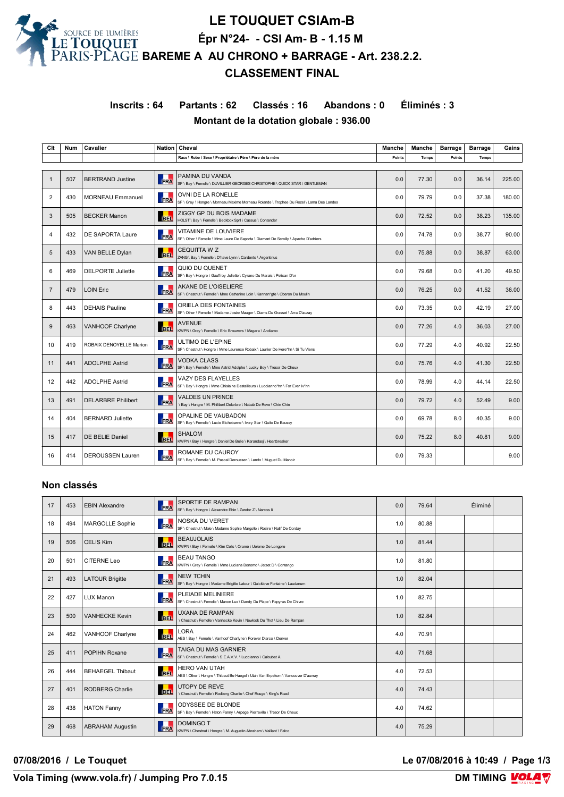

**LE TOUQUET CSIAm-B Épr N°24- - CSI Am- B - 1.15 M BAREME A AU CHRONO + BARRAGE - Art. 238.2.2. CLASSEMENT FINAL**

**Inscrits : 64 Partants : 62 Classés : 16 Abandons : 0 Éliminés : 3 Montant de la dotation globale : 936.00**

| Clt            | <b>Num</b> | Cavalier                  |                 | Nation   Cheval                                                                                                | <b>Manche</b> | Manche       | <b>Barrage</b> | <b>Barrage</b> | Gains  |
|----------------|------------|---------------------------|-----------------|----------------------------------------------------------------------------------------------------------------|---------------|--------------|----------------|----------------|--------|
|                |            |                           |                 | Race \ Robe \ Sexe \ Propriétaire \ Père \ Père de la mère                                                     | Points        | <b>Temps</b> | Points         | Temps          |        |
|                |            |                           |                 |                                                                                                                |               |              |                |                |        |
| $\mathbf 1$    | 507        | <b>BERTRAND Justine</b>   | <b>FRA</b>      | PAMINA DU VANDA<br>SF \ Bay \ Femelle \ DUVILLIER GEORGES CHRISTOPHE \ QUICK STAR \ GENTLEMAN                  | 0.0           | 77.30        | 0.0            | 36.14          | 225.00 |
| 2              | 430        | <b>MORNEAU Emmanuel</b>   | <b>FRA</b>      | OVNI DE LA RONELLE<br>SF \ Grey \ Hongre \ Morneau Maxime Morneau Rolande \ Trophee Du Rozel \ Lama Des Landes | 0.0           | 79.79        | 0.0            | 37.38          | 180.00 |
| 3              | 505        | <b>BECKER Manon</b>       | <b>BEL</b>      | ZIGGY GP DU BOIS MADAME<br>HOLST \ Bay \ Femelle \ Beckbox SprI \ Cassus \ Contender                           | 0.0           | 72.52        | 0.0            | 38.23          | 135.00 |
| $\overline{4}$ | 432        | DE SAPORTA Laure          | <b>FRA</b>      | VITAMINE DE LOUVIERE<br>SF \ Other \ Femelle \ Mme Laure De Saporta \ Diamant De Semilly \ Apache D'adriers    | 0.0           | 74.78        | 0.0            | 38.77          | 90.00  |
| 5              | 433        | VAN BELLE Dylan           | ш<br><b>BEL</b> | <b>CEQUITTA W Z</b><br>ZANG \ Bay \ Femelle \ D'have Lynn \ Cardento \ Argentinus                              | 0.0           | 75.88        | 0.0            | 38.87          | 63.00  |
| 6              | 469        | <b>DELPORTE Juliette</b>  | FRA             | QUIO DU QUENET<br>SF \ Bay \ Hongre \ Gauffroy Juliette \ Cyrano Du Marais \ Pelican D'or                      | 0.0           | 79.68        | 0.0            | 41.20          | 49.50  |
| $\overline{7}$ | 479        | <b>LOIN Eric</b>          | FRA             | <b>AKANE DE L'OISELIERE</b><br>SF \ Chestnut \ Femelle \ Mme Catherine Loin \ Kannan*gfe \ Oberon Du Moulin    | 0.0           | 76.25        | 0.0            | 41.52          | 36.00  |
| 8              | 443        | <b>DEHAIS Pauline</b>     | FRA             | ORIELA DES FONTAINES<br>SF \ Other \ Femelle \ Madame Josée Mauger \ Diams Du Grasset \ Arra D'auzay           | 0.0           | 73.35        | 0.0            | 42.19          | 27.00  |
| 9              | 463        | VANHOOF Charlyne          | <b>BEL</b>      | <b>AVENUE</b><br>KWPN \ Grey \ Femelle \ Eric Brouwers \ Magara \ Andiamo                                      | 0.0           | 77.26        | 4.0            | 36.03          | 27.00  |
| 10             | 419        | ROBAIX DENOYELLE Marion   | FRA             | ULTIMO DE L'EPINE<br>SF \ Chestnut \ Hongre \ Mme Laurence Robaix \ Laurier De Here*hn \ Si Tu Viens           | 0.0           | 77.29        | 4.0            | 40.92          | 22.50  |
| 11             | 441        | <b>ADOLPHE Astrid</b>     | FRA             | <b>VODKA CLASS</b><br>SF \ Bay \ Femelle \ Mme Astrid Adolphe \ Lucky Boy \ Tresor De Cheux                    | 0.0           | 75.76        | 4.0            | 41.30          | 22.50  |
| 12             | 442        | <b>ADOLPHE Astrid</b>     | л<br>FRA        | <b>VAZY DES FLAYELLES</b><br>SF \ Bay \ Hongre \ Mme Ghislaine Destailleurs \ Luccianno*hn \ For Ever Iv*hn    | 0.0           | 78.99        | 4.0            | 44.14          | 22.50  |
| 13             | 491        | <b>DELARBRE Philibert</b> | FRA             | VALDES UN PRINCE<br>Bay \ Hongre \ M. Philibert Delarbre \ Nabab De Reve \ Chin Chin                           | 0.0           | 79.72        | 4.0            | 52.49          | 9.00   |
| 14             | 404        | <b>BERNARD Juliette</b>   | FRA             | OPALINE DE VAUBADON<br>SF \ Bay \ Femelle \ Lucie Etchebarne \ Ivory Star \ Quito De Baussy                    | 0.0           | 69.78        | 8.0            | 40.35          | 9.00   |
| 15             | 417        | DE BELIE Daniel           | <b>BEL</b>      | <b>SHALOM</b><br>KWPN \ Bay \ Hongre \ Daniel De Belie \ Karandasj \ Heartbreaker                              | 0.0           | 75.22        | 8.0            | 40.81          | 9.00   |
| 16             | 414        | <b>DEROUSSEN Lauren</b>   | <b>FRA</b>      | ROMANE DU CAUROY<br>SF \ Bay \ Femelle \ M. Pascal Deroussen \ Lando \ Muguet Du Manoir                        | 0.0           | 79.33        |                |                | 9.00   |

#### **Non classés**

| 17 | 453 | <b>EBIN Alexandre</b>   | <b>FRA</b> | SPORTIF DE RAMPAN<br>SF \ Bay \ Hongre \ Alexandre Ebin \ Zandor Z \ Narcos li                           | 0.0 | 79.64 | Éliminé |  |
|----|-----|-------------------------|------------|----------------------------------------------------------------------------------------------------------|-----|-------|---------|--|
| 18 | 494 | MARGOLLE Sophie         | FRA        | <b>NOSKA DU VERET</b><br>SF \ Chestnut \ Male \ Madame Sophie Margolle \ Rosire \ Natif De Corday        | 1.0 | 80.88 |         |  |
| 19 | 506 | <b>CELIS Kim</b>        | <b>BEL</b> | <b>BEAUJOLAIS</b><br>KWPN \ Bay \ Femelle \ Kim Celis \ Oramé \ Ueleme De Longpre                        | 1.0 | 81.44 |         |  |
| 20 | 501 | CITERNE Leo             | <b>FRA</b> | <b>BEAU TANGO</b><br>KWPN \ Grey \ Femelle \ Mme Luciana Bonomo \ Jetset D \ Contango                    | 1.0 | 81.80 |         |  |
| 21 | 493 | <b>LATOUR Brigitte</b>  | FRA        | <b>NEW TCHIN</b><br>SF \ Bay \ Hongre \ Madame Brigitte Latour \ Quicklove Fontaine \ Laudanum           | 1.0 | 82.04 |         |  |
| 22 | 427 | LUX Manon               | FRA        | PLEIADE MELINIERE<br>SF \ Chestnut \ Femelle \ Manon Lux \ Dandy Du Plape \ Papyrus De Chivre            | 1.0 | 82.75 |         |  |
| 23 | 500 | <b>VANHECKE Kevin</b>   | <b>BEL</b> | <b>UXANA DE RAMPAN</b><br>\ Chestnut \ Femelle \ Vanhecke Kevin \ Newlook Du Thot \ Lieu De Rampan       | 1.0 | 82.84 |         |  |
| 24 | 462 | VANHOOF Charlyne        | <b>BEL</b> | LORA<br>AES \ Bay \ Femelle \ Vanhoof Charlyne \ Forever D'arco \ Denver                                 | 4.0 | 70.91 |         |  |
| 25 | 411 | POPIHN Roxane           | FRA        | TAIGA DU MAS GARNIER<br>SF \ Chestnut \ Femelle \ S.E.A.V.V. \ Luccianno \ Galoubet A                    | 4.0 | 71.68 |         |  |
| 26 | 444 | <b>BEHAEGEL Thibaut</b> | <b>BEL</b> | <b>HERO VAN UTAH</b><br>AES \ Other \ Hongre \ Thibaut Be Haegel \ Utah Van Erpekom \ Vancouver D'auvray | 4.0 | 72.53 |         |  |
| 27 | 401 | RODBERG Charlie         | <b>BEL</b> | <b>UTOPY DE REVE</b><br>\ Chestnut \ Femelle \ Rodberg Charlie \ Chef Rouge \ King's Road                | 4.0 | 74.43 |         |  |
| 28 | 438 | <b>HATON Fanny</b>      | FRA        | ODYSSEE DE BLONDE<br>SF \ Bay \ Femelle \ Haton Fanny \ Arpege Pierreville \ Tresor De Cheux             | 4.0 | 74.62 |         |  |
| 29 | 468 | <b>ABRAHAM Augustin</b> | <b>FRA</b> | <b>DOMINGO T</b><br>KWPN \ Chestnut \ Hongre \ M. Augustin Abraham \ Vaillant \ Falco                    | 4.0 | 75.29 |         |  |

**07/08/2016 / Le Touquet Le 07/08/2016 à 10:49 / Page 1/3**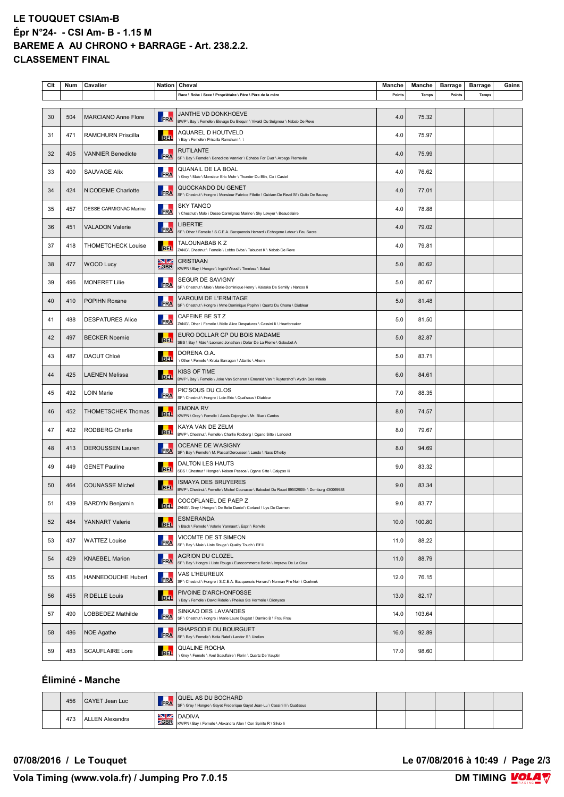## **LE TOUQUET CSIAm-B Épr N°24- - CSI Am- B - 1.15 M BAREME A AU CHRONO + BARRAGE - Art. 238.2.2. CLASSEMENT FINAL**

| Clt | Num | Cavalier                   | Nation                                                                                                                              | Cheval                                                                                                              | Manche | Manche | <b>Barrage</b> | <b>Barrage</b> | Gains |
|-----|-----|----------------------------|-------------------------------------------------------------------------------------------------------------------------------------|---------------------------------------------------------------------------------------------------------------------|--------|--------|----------------|----------------|-------|
|     |     |                            |                                                                                                                                     | Race \ Robe \ Sexe \ Propriétaire \ Père \ Père de la mère                                                          | Points | Temps  | Points         | Temps          |       |
| 30  | 504 | <b>MARCIANO Anne Flore</b> | FRA                                                                                                                                 | JANTHE VD DONKHOEVE<br>BWP \ Bay \ Femelle \ Elevage Du Blequin \ Vivaldi Du Seigneur \ Nabab De Reve               | 4.0    | 75.32  |                |                |       |
| 31  | 471 | <b>RAMCHURN Priscilla</b>  | <b>BEL</b>                                                                                                                          | AQUAREL D HOUTVELD<br>I Bay \ Femelle \ Priscilla Ramchurn \ \                                                      | 4.0    | 75.97  |                |                |       |
| 32  | 405 | <b>VANNIER Benedicte</b>   | FRA                                                                                                                                 | <b>RUTILANTE</b><br>SF \ Bay \ Femelle \ Benedicte Vannier \ Ephebe For Ever \ Arpege Pierreville                   | 4.0    | 75.99  |                |                |       |
| 33  | 400 | <b>SAUVAGE Alix</b>        | FRA                                                                                                                                 | QUANAIL DE LA BOAL<br>\ Grey \ Male \ Monsieur Eric Muhr \ Thunder Du Blin, Co \ Castel                             | 4.0    | 76.62  |                |                |       |
| 34  | 424 | <b>NICODEME Charlotte</b>  | FRA                                                                                                                                 | QUOCKANDO DU GENET<br>SF \ Chestnut \ Hongre \ Monsieur Fabrice Fillette \ Quidam De Revel Sf \ Quito De Baussy     | 4.0    | 77.01  |                |                |       |
| 35  | 457 | DESSE CARMIGNAC Marine     | FRA                                                                                                                                 | SKY TANGO<br>\ Chestnut \ Male \ Desse Carmignac Marine \ Sky Lawyer \ Beaudelaire                                  | 4.0    | 78.88  |                |                |       |
| 36  | 451 | <b>VALADON Valerie</b>     | <b>FRA</b>                                                                                                                          | LIBERTIE<br>SF \ Other \ Femelle \ S.C.E.A. Bacquenois Herrard \ Echogene Latour \ Feu Sacre                        | 4.0    | 79.02  |                |                |       |
| 37  | 418 | <b>THOMETCHECK Louise</b>  | <b>BEL</b>                                                                                                                          | TALOUNABAB K Z<br>ZANG \ Chestnut \ Femelle \ Lobbo Bvba \ Taloubet K \ Nabab De Reve                               | 4.0    | 79.81  |                |                |       |
| 38  | 477 | WOOD Lucy                  | NZ.<br><b>ZGBR</b>                                                                                                                  | <b>CRISTIAAN</b><br>KWPN \ Bay \ Hongre \ Ingrid Wood \ Timeless \ Saluut                                           | 5.0    | 80.62  |                |                |       |
| 39  | 496 | <b>MONERET Lilie</b>       | FRA                                                                                                                                 | SEGUR DE SAVIGNY<br>SF \ Chestnut \ Male \ Marie-Dominique Henry \ Kalaska De Semilly \ Narcos li                   | 5.0    | 80.67  |                |                |       |
| 40  | 410 | POPIHN Roxane              | FRA                                                                                                                                 | <b>VAROUM DE L'ERMITAGE</b><br>SF \ Chestnut \ Hongre \ Mme Dominique Popihn \ Quartz Du Chanu \ Diableur           | 5.0    | 81.48  |                |                |       |
| 41  | 488 | <b>DESPATURES Alice</b>    | FRA                                                                                                                                 | CAFEINE BE ST Z<br>ZANG \ Other \ Femelle \ Melle Alice Despatures \ Cassini Ii \ Heartbreaker                      | 5.0    | 81.50  |                |                |       |
| 42  | 497 | <b>BECKER Noemie</b>       | <b>BEL</b>                                                                                                                          | EURO DOLLAR GP DU BOIS MADAME<br>SBS \ Bay \ Male \ Leonard Jonathan \ Dollar De La Pierre \ Galoubet A             | 5.0    | 82.87  |                |                |       |
| 43  | 487 | DAOUT Chloé                | <b>BEL</b>                                                                                                                          | DORENA O.A.<br>\ Other \ Femelle \ Krizia Barragan \ Atlantic \ Ahorn                                               | 5.0    | 83.71  |                |                |       |
| 44  | 425 | <b>LAENEN Melissa</b>      | <b>BEL</b>                                                                                                                          | KISS OF TIME<br>BWP \ Bay \ Femelle \ Joke Van Scharen \ Emerald Van 't Ruytershof \ Aydin Des Malais               | 6.0    | 84.61  |                |                |       |
| 45  | 492 | <b>LOIN Marie</b>          | FRA                                                                                                                                 | PIC'SOUS DU CLOS<br>SF \ Chestnut \ Hongre \ Loin Eric \ Quat'sous \ Diableur                                       | 7.0    | 88.35  |                |                |       |
| 46  | 452 | <b>THOMETSCHEK Thomas</b>  | <b>BEL</b>                                                                                                                          | EMONA RV<br>KWPN \ Grey \ Femelle \ Alexis Dejonghe \ Mr. Blue \ Cantos                                             | 8.0    | 74.57  |                |                |       |
| 47  | 402 | RODBERG Charlie            | <b>BEL</b>                                                                                                                          | KAYA VAN DE ZELM<br>BWP \ Chestnut \ Femelle \ Charlie Rodberg \ Ogano Sitte \ Lancelot                             | 8.0    | 79.67  |                |                |       |
| 48  | 413 | <b>DEROUSSEN Lauren</b>    | FRA                                                                                                                                 | OCEANE DE WASIGNY<br>SF \ Bay \ Femelle \ M. Pascal Deroussen \ Lando \ Naos D'helby                                | 8.0    | 94.69  |                |                |       |
| 49  | 449 | <b>GENET Pauline</b>       | BEL.                                                                                                                                | DALTON LES HAUTS<br>SBS \ Chestnut \ Hongre \ Nelson Pessoa \ Ogane Sitte \ Calypso Iii                             | 9.0    | 83.32  |                |                |       |
| 50  | 464 | <b>COUNASSE Michel</b>     | <b>BEL</b>                                                                                                                          | ISMAYA DES BRUYERES<br>BWP \ Chestnut \ Femelle \ Michel Counasse \ Baloubet Du Rouet 89502905h \ Domburg 430069988 | 9.0    | 83.34  |                |                |       |
| 51  | 439 | <b>BARDYN Benjamin</b>     | <b>The Contract of the Contract of the Contract of the Contract of the Contract of the Contract of the Contract o</b><br><b>BEL</b> | COCOFLANEL DE PAEP Z<br>ZANG \ Grey \ Hongre \ De Belie Daniel \ Corland \ Lys De Darmen                            | 9.0    | 83.77  |                |                |       |
| 52  | 484 | YANNART Valerie            | <b>BEL</b>                                                                                                                          | <b>ESMERANDA</b><br>\ Black \ Femelle \ Valerie Yannaert \ Espri \ Renville                                         | 10.0   | 100.80 |                |                |       |
| 53  | 437 | <b>WATTEZ Louise</b>       | FRA                                                                                                                                 | VICOMTE DE ST SIMEON<br>SF \ Bay \ Male \ Liste Rouge \ Quality Touch \ Elf lii                                     | 11.0   | 88.22  |                |                |       |
| 54  | 429 | <b>KNAEBEL Marion</b>      | <b>FRA</b>                                                                                                                          | <b>AGRION DU CLOZEL</b><br>SF \ Bay \ Hongre \ Liste Rouge \ Eurocommerce Berlin \ Imprevu De La Cour               | 11.0   | 88.79  |                |                |       |
| 55  | 435 | HANNEDOUCHE Hubert         | FRA                                                                                                                                 | VAS L'HEUREUX<br>SF \ Chestnut \ Hongre \ S.C.E.A. Bacquenois Herrard \ Norman Pre Noir \ Quelmek                   | 12.0   | 76.15  |                |                |       |
| 56  | 455 | <b>RIDELLE Louis</b>       | <b>BEL</b>                                                                                                                          | PIVOINE D'ARCHONFOSSE<br>\ Bay \ Femelle \ David Ridelle \ Phelius Ste Hermelle \ Dionysos                          | 13.0   | 82.17  |                |                |       |
| 57  | 490 | LOBBEDEZ Mathilde          | FRA                                                                                                                                 | SINKAO DES LAVANDES<br>SF \ Chestnut \ Hongre \ Marie Laure Dugast \ Damiro B \ Frou Frou                           | 14.0   | 103.64 |                |                |       |
| 58  | 486 | NOE Agathe                 | FRA                                                                                                                                 | RHAPSODIE DU BOURGUET<br>SF \ Bay \ Femelle \ Katia Ratel \ Landor S \ Uzelien                                      | 16.0   | 92.89  |                |                |       |
| 59  | 483 | <b>SCAUFLAIRE Lore</b>     | <b>BEL</b>                                                                                                                          | QUALINE ROCHA<br>\ Grey \ Femelle \ Axel Scauflaire \ Florin \ Quartz De Vauptin                                    | 17.0   | 98.60  |                |                |       |

## **Éliminé - Manche**

| 456 | GAYET Jean Luc  |            | <b>I QUEL AS DU BOCHARD</b><br>FRA SF \ Grey \ Hongre \ Gayet Frederique Gayet Jean-Lu \ Cassini li \ Quat'sous |  |  |  |
|-----|-----------------|------------|-----------------------------------------------------------------------------------------------------------------|--|--|--|
| 473 | ALLEN Alexandra | <b>GBR</b> | <b>NZ</b> DADIVA<br>KWPN \ Bay \ Femelle \ Alexandra Allen \ Con Spirito R \ Silvio Ii                          |  |  |  |

**07/08/2016 / Le Touquet Le 07/08/2016 à 10:49 / Page 2/3**